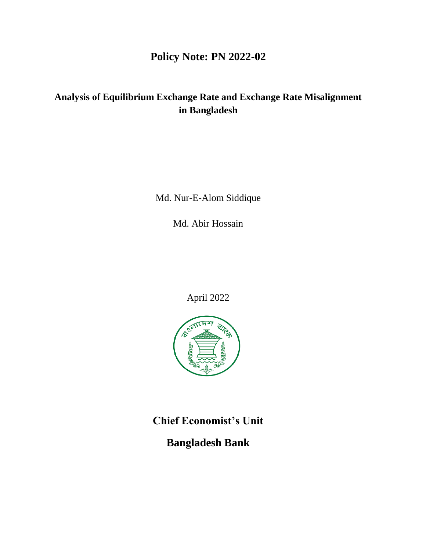# **Policy Note: PN 2022-02**

# **Analysis of Equilibrium Exchange Rate and Exchange Rate Misalignment in Bangladesh**

Md. Nur-E-Alom Siddique

Md. Abir Hossain

April 2022



# **Chief Economist's Unit Bangladesh Bank**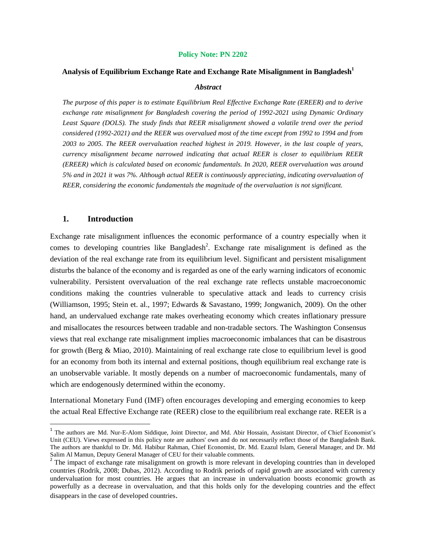#### **Policy Note: PN 2202**

#### **Analysis of Equilibrium Exchange Rate and Exchange Rate Misalignment in Bangladesh<sup>1</sup>**

#### *Abstract*

*The purpose of this paper is to estimate Equilibrium Real Effective Exchange Rate (EREER) and to derive exchange rate misalignment for Bangladesh covering the period of 1992-2021 using Dynamic Ordinary Least Square (DOLS). The study finds that REER misalignment showed a volatile trend over the period considered (1992-2021) and the REER was overvalued most of the time except from 1992 to 1994 and from 2003 to 2005. The REER overvaluation reached highest in 2019. However, in the last couple of years, currency misalignment became narrowed indicating that actual REER is closer to equilibrium REER (EREER) which is calculated based on economic fundamentals. In 2020, REER overvaluation was around 5% and in 2021 it was 7%. Although actual REER is continuously appreciating, indicating overvaluation of REER, considering the economic fundamentals the magnitude of the overvaluation is not significant.* 

#### **1. Introduction**

 $\overline{\phantom{a}}$ 

Exchange rate misalignment influences the economic performance of a country especially when it comes to developing countries like Bangladesh<sup>2</sup>. Exchange rate misalignment is defined as the deviation of the real exchange rate from its equilibrium level. Significant and persistent misalignment disturbs the balance of the economy and is regarded as one of the early warning indicators of economic vulnerability. Persistent overvaluation of the real exchange rate reflects unstable macroeconomic conditions making the countries vulnerable to speculative attack and leads to currency crisis (Williamson, 1995; Stein et. al., 1997; Edwards & Savastano, 1999; Jongwanich, 2009). On the other hand, an undervalued exchange rate makes overheating economy which creates inflationary pressure and misallocates the resources between tradable and non-tradable sectors. The Washington Consensus views that real exchange rate misalignment implies macroeconomic imbalances that can be disastrous for growth (Berg & Miao, 2010). Maintaining of real exchange rate close to equilibrium level is good for an economy from both its internal and external positions, though equilibrium real exchange rate is an unobservable variable. It mostly depends on a number of macroeconomic fundamentals, many of which are endogenously determined within the economy.

International Monetary Fund (IMF) often encourages developing and emerging economies to keep the actual Real Effective Exchange rate (REER) close to the equilibrium real exchange rate. REER is a

<sup>&</sup>lt;sup>1</sup> The authors are Md. Nur-E-Alom Siddique, Joint Director, and Md. Abir Hossain, Assistant Director, of Chief Economist's Unit (CEU). Views expressed in this policy note are authors' own and do not necessarily reflect those of the Bangladesh Bank. The authors are thankful to Dr. Md. Habibur Rahman, Chief Economist, Dr. Md. Ezazul Islam, General Manager, and Dr. Md Salim Al Mamun, Deputy General Manager of CEU for their valuable comments.<br><sup>2</sup> The impact of exchange rate misalignment on growth is more relevant in developing countries than in developed

countries (Rodrik, 2008; Dubas, 2012). According to Rodrik periods of rapid growth are associated with currency undervaluation for most countries. He argues that an increase in undervaluation boosts economic growth as powerfully as a decrease in overvaluation, and that this holds only for the developing countries and the effect disappears in the case of developed countries.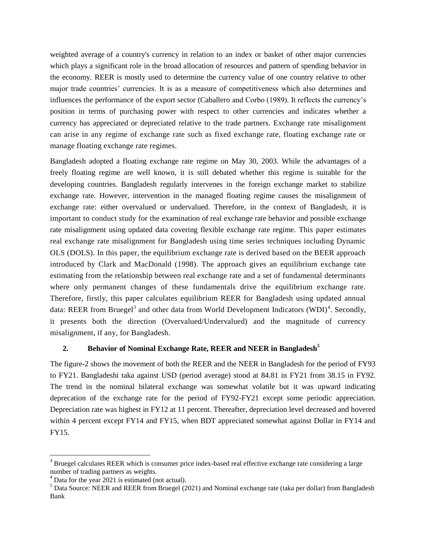[weighted average](https://www.investopedia.com/terms/w/weightedaverage.asp) of a country's currency in relation to an index or basket of other major currencies which plays a significant role in the broad allocation of resources and pattern of spending behavior in the economy. REER is mostly used to determine the currency value of one country relative to other major trade countries' currencies. It is as a measure of competitiveness which also determines and influences the performance of the export sector (Caballero and Corbo (1989). It reflects the currency's position in terms of purchasing power with respect to other currencies and indicates whether a currency has appreciated or depreciated relative to the trade partners. Exchange rate misalignment can arise in any regime of exchange rate such as fixed exchange rate, floating exchange rate or manage floating exchange rate regimes.

Bangladesh adopted a floating exchange rate regime on May 30, 2003. While the advantages of a freely floating regime are well known, it is still debated whether this regime is suitable for the developing countries. Bangladesh regularly intervenes in the foreign exchange market to stabilize exchange rate. However, intervention in the managed floating regime causes the misalignment of exchange rate: either overvalued or undervalued. Therefore, in the context of Bangladesh, it is important to conduct study for the examination of real exchange rate behavior and possible exchange rate misalignment using updated data covering flexible exchange rate regime. This paper estimates real exchange rate misalignment for Bangladesh using time series techniques including Dynamic OLS (DOLS). In this paper, the equilibrium exchange rate is derived based on the BEER approach introduced by Clark and MacDonald (1998). The approach gives an equilibrium exchange rate estimating from the relationship between real exchange rate and a set of fundamental determinants where only permanent changes of these fundamentals drive the equilibrium exchange rate. Therefore, firstly, this paper calculates equilibrium REER for Bangladesh using updated annual data: REER from Bruegel<sup>3</sup> and other data from World Development Indicators (WDI)<sup>4</sup>. Secondly, it presents both the direction (Overvalued/Undervalued) and the magnitude of currency misalignment, if any, for Bangladesh.

## **2. Behavior of Nominal Exchange Rate, REER and NEER in Bangladesh<sup>5</sup>**

The figure-2 shows the movement of both the REER and the NEER in Bangladesh for the period of FY93 to FY21. Bangladeshi taka against USD (period average) stood at 84.81 in FY21 from 38.15 in FY92. The trend in the nominal bilateral exchange was somewhat volatile but it was upward indicating deprecation of the exchange rate for the period of FY92-FY21 except some periodic appreciation. Depreciation rate was highest in FY12 at 11 percent. Thereafter, depreciation level decreased and hovered within 4 percent except FY14 and FY15, when BDT appreciated somewhat against Dollar in FY14 and FY15.

 $\overline{a}$ 

<sup>&</sup>lt;sup>3</sup> Bruegel calculates REER which is consumer price index-based real effective exchange rate considering a large number of trading partners as weights.

 $4$  Data for the year 2021 is estimated (not actual).

<sup>&</sup>lt;sup>5</sup> Data Source: NEER and REER from Bruegel (2021) and Nominal exchange rate (taka per dollar) from Bangladesh Bank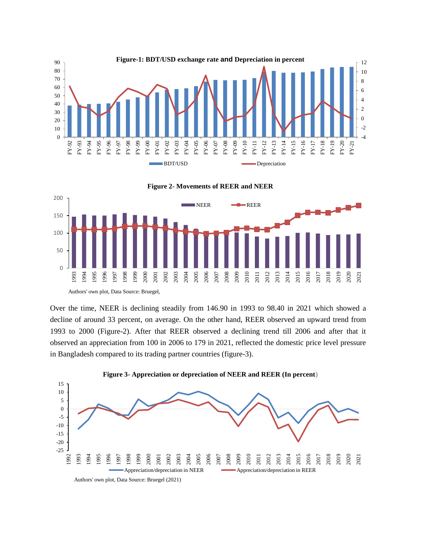

**Figure 2- Movements of REER and NEER** 



Over the time, NEER is declining steadily from 146.90 in 1993 to 98.40 in 2021 which showed a decline of around 33 percent, on average. On the other hand, REER observed an upward trend from 1993 to 2000 (Figure-2). After that REER observed a declining trend till 2006 and after that it observed an appreciation from 100 in 2006 to 179 in 2021, reflected the domestic price level pressure in Bangladesh compared to its trading partner countries (figure-3).

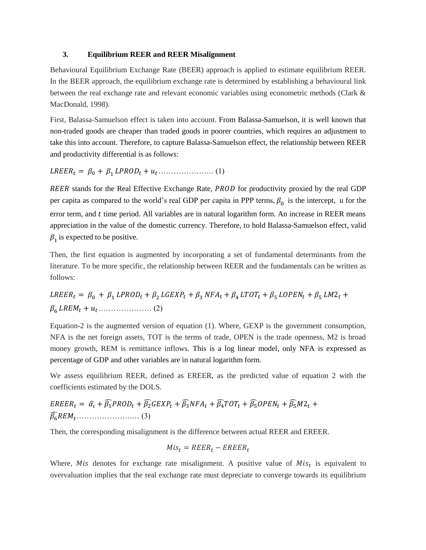## **3. Equilibrium REER and REER Misalignment**

Behavioural Equilibrium Exchange Rate (BEER) approach is applied to estimate equilibrium REER. In the BEER approach, the equilibrium exchange rate is determined by establishing a behavioural link between the real exchange rate and relevant economic variables using econometric methods (Clark & MacDonald, 1998).

First, Balassa-Samuelson effect is taken into account. From Balassa-Samuelson, it is well known that non-traded goods are cheaper than traded goods in poorer countries, which requires an adjustment to take this into account. Therefore, to capture Balassa-Samuelson effect, the relationship between REER and productivity differential is as follows:

……………….… (1)

REER stands for the Real Effective Exchange Rate, *PROD* for productivity proxied by the real GDP per capita as compared to the world's real GDP per capita in PPP terms,  $\beta_0$  is the intercept, u for the error term, and  $t$  time period. All variables are in natural logarithm form. An increase in REER means appreciation in the value of the domestic currency. Therefore, to hold Balassa-Samuelson effect, valid  $\beta_1$  is expected to be positive.

Then, the first equation is augmented by incorporating a set of fundamental determinants from the literature. To be more specific, the relationship between REER and the fundamentals can be written as follows:

LREE
$$
R_t = \beta_0 + \beta_1 LPROD_t + \beta_2 LGEXP_t + \beta_3 NFA_t + \beta_4 LTOT_t + \beta_5 LOPEN_t + \beta_5 LMZ_t + \beta_6 LREM_t + u_t
$$
................. (2)

Equation-2 is the augmented version of equation (1). Where, GEXP is the government consumption, NFA is the net foreign assets, TOT is the terms of trade, OPEN is the trade openness, M2 is broad money growth, REM is remittance inflows. This is a log linear model, only NFA is expressed as percentage of GDP and other variables are in natural logarithm form.

We assess equilibrium REER, defined as EREER, as the predicted value of equation 2 with the coefficients estimated by the DOLS.

 ………………….… (3)

Then, the corresponding misalignment is the difference between actual REER and EREER.

$$
Mis_t = REER_t - EREER_t
$$

Where, Mis denotes for exchange rate misalignment. A positive value of  $Mis_t$  is equivalent to overvaluation implies that the real exchange rate must depreciate to converge towards its equilibrium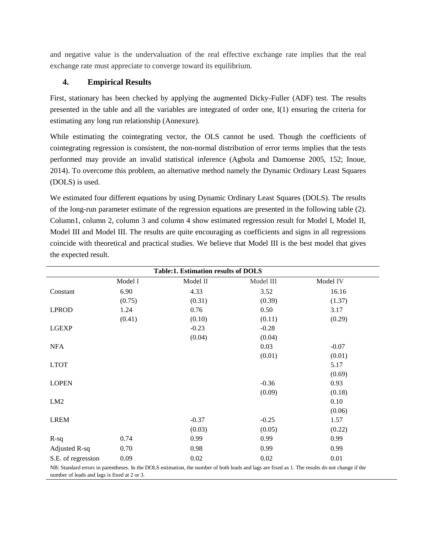and negative value is the undervaluation of the real effective exchange rate implies that the real exchange rate must appreciate to converge toward its equilibrium.

# **4. Empirical Results**

First, stationary has been checked by applying the augmented Dicky-Fuller (ADF) test. The results presented in the table and all the variables are integrated of order one, I(1) ensuring the criteria for estimating any long run relationship (Annexure).

While estimating the cointegrating vector, the OLS cannot be used. Though the coefficients of cointegrating regression is consistent, the non-normal distribution of error terms implies that the tests performed may provide an invalid statistical inference (Agbola and Damoense 2005, 152; Inoue, 2014). To overcome this problem, an alternative method namely the Dynamic Ordinary Least Squares (DOLS) is used.

We estimated four different equations by using Dynamic Ordinary Least Squares (DOLS). The results of the long-run parameter estimate of the regression equations are presented in the following table (2). Column1, column 2, column 3 and column 4 show estimated regression result for Model I, Model II, Model III and Model III. The results are quite encouraging as coefficients and signs in all regressions coincide with theoretical and practical studies. We believe that Model III is the best model that gives the expected result.

| <b>Table:1. Estimation results of DOLS</b>   |         |          |           |                                                                                                                                                |  |  |  |
|----------------------------------------------|---------|----------|-----------|------------------------------------------------------------------------------------------------------------------------------------------------|--|--|--|
|                                              | Model I | Model II | Model III | Model IV                                                                                                                                       |  |  |  |
| Constant                                     | 6.90    | 4.33     | 3.52      | 16.16                                                                                                                                          |  |  |  |
|                                              | (0.75)  | (0.31)   | (0.39)    | (1.37)                                                                                                                                         |  |  |  |
| <b>LPROD</b>                                 | 1.24    | 0.76     | 0.50      | 3.17                                                                                                                                           |  |  |  |
|                                              | (0.41)  | (0.10)   | (0.11)    | (0.29)                                                                                                                                         |  |  |  |
| <b>LGEXP</b>                                 |         | $-0.23$  | $-0.28$   |                                                                                                                                                |  |  |  |
|                                              |         | (0.04)   | (0.04)    |                                                                                                                                                |  |  |  |
| <b>NFA</b>                                   |         |          | 0.03      | $-0.07$                                                                                                                                        |  |  |  |
|                                              |         |          | (0.01)    | (0.01)                                                                                                                                         |  |  |  |
| <b>LTOT</b>                                  |         |          |           | 5.17                                                                                                                                           |  |  |  |
|                                              |         |          |           | (0.69)                                                                                                                                         |  |  |  |
| <b>LOPEN</b>                                 |         |          | $-0.36$   | 0.93                                                                                                                                           |  |  |  |
|                                              |         |          | (0.09)    | (0.18)                                                                                                                                         |  |  |  |
| LM <sub>2</sub>                              |         |          |           | 0.10                                                                                                                                           |  |  |  |
|                                              |         |          |           | (0.06)                                                                                                                                         |  |  |  |
| <b>LREM</b>                                  |         | $-0.37$  | $-0.25$   | 1.57                                                                                                                                           |  |  |  |
|                                              |         | (0.03)   | (0.05)    | (0.22)                                                                                                                                         |  |  |  |
| $R-sq$                                       | 0.74    | 0.99     | 0.99      | 0.99                                                                                                                                           |  |  |  |
| Adjusted R-sq                                | 0.70    | 0.98     | 0.99      | 0.99                                                                                                                                           |  |  |  |
| S.E. of regression                           | 0.09    | 0.02     | 0.02      | 0.01                                                                                                                                           |  |  |  |
| number of leads and lags is fixed at 2 or 3. |         |          |           | NB: Standard errors in parentheses. In the DOLS estimation, the number of both leads and lags are fixed as 1. The results do not change if the |  |  |  |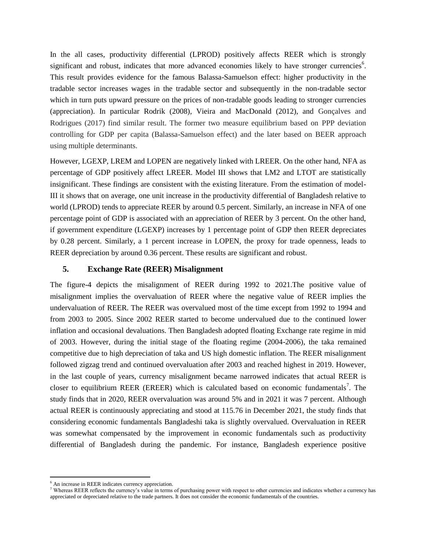In the all cases, productivity differential (LPROD) positively affects REER which is strongly significant and robust, indicates that more advanced economies likely to have stronger currencies<sup>6</sup>. This result provides evidence for the famous Balassa-Samuelson effect: higher productivity in the tradable sector increases wages in the tradable sector and subsequently in the non-tradable sector which in turn puts upward pressure on the prices of non-tradable goods leading to stronger currencies (appreciation). In particular Rodrik (2008), Vieira and MacDonald (2012), and Gonçalves and Rodrigues (2017) find similar result. The former two measure equilibrium based on PPP deviation controlling for GDP per capita (Balassa-Samuelson effect) and the later based on BEER approach using multiple determinants.

However, LGEXP, LREM and LOPEN are negatively linked with LREER. On the other hand, NFA as percentage of GDP positively affect LREER. Model III shows that LM2 and LTOT are statistically insignificant. These findings are consistent with the existing literature. From the estimation of model-III it shows that on average, one unit increase in the productivity differential of Bangladesh relative to world (LPROD) tends to appreciate REER by around 0.5 percent. Similarly, an increase in NFA of one percentage point of GDP is associated with an appreciation of REER by 3 percent. On the other hand, if government expenditure (LGEXP) increases by 1 percentage point of GDP then REER depreciates by 0.28 percent. Similarly, a 1 percent increase in LOPEN, the proxy for trade openness, leads to REER depreciation by around 0.36 percent. These results are significant and robust.

## **5. Exchange Rate (REER) Misalignment**

The figure-4 depicts the misalignment of REER during 1992 to 2021.The positive value of misalignment implies the overvaluation of REER where the negative value of REER implies the undervaluation of REER. The REER was overvalued most of the time except from 1992 to 1994 and from 2003 to 2005. Since 2002 REER started to become undervalued due to the continued lower inflation and occasional devaluations. Then Bangladesh adopted floating Exchange rate regime in mid of 2003. However, during the initial stage of the floating regime (2004-2006), the taka remained competitive due to high depreciation of taka and US high domestic inflation. The REER misalignment followed zigzag trend and continued overvaluation after 2003 and reached highest in 2019. However, in the last couple of years, currency misalignment became narrowed indicates that actual REER is closer to equilibrium REER (EREER) which is calculated based on economic fundamentals<sup>7</sup>. The study finds that in 2020, REER overvaluation was around 5% and in 2021 it was 7 percent. Although actual REER is continuously appreciating and stood at 115.76 in December 2021, the study finds that considering economic fundamentals Bangladeshi taka is slightly overvalued. Overvaluation in REER was somewhat compensated by the improvement in economic fundamentals such as productivity differential of Bangladesh during the pandemic. For instance, Bangladesh experience positive

 $\overline{\phantom{a}}$ 

<sup>6</sup> An increase in REER indicates currency appreciation.

<sup>&</sup>lt;sup>7</sup> Whereas REER reflects the currency's value in terms of purchasing power with respect to other currencies and indicates whether a currency has appreciated or depreciated relative to the trade partners. It does not consider the economic fundamentals of the countries.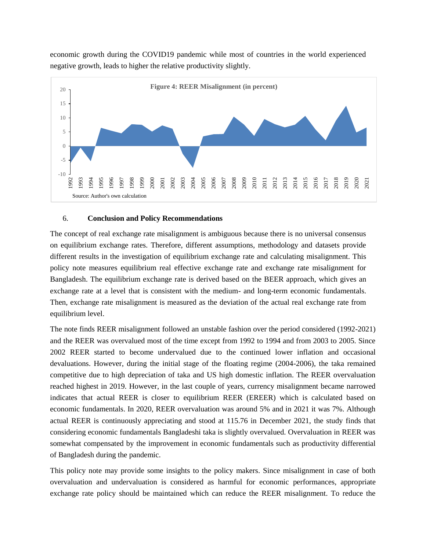economic growth during the COVID19 pandemic while most of countries in the world experienced negative growth, leads to higher the relative productivity slightly.



#### 6. **Conclusion and Policy Recommendations**

The concept of real exchange rate misalignment is ambiguous because there is no universal consensus on equilibrium exchange rates. Therefore, different assumptions, methodology and datasets provide different results in the investigation of equilibrium exchange rate and calculating misalignment. This policy note measures equilibrium real effective exchange rate and exchange rate misalignment for Bangladesh. The equilibrium exchange rate is derived based on the BEER approach, which gives an exchange rate at a level that is consistent with the medium- and long-term economic fundamentals. Then, exchange rate misalignment is measured as the deviation of the actual real exchange rate from equilibrium level.

The note finds REER misalignment followed an unstable fashion over the period considered (1992-2021) and the REER was overvalued most of the time except from 1992 to 1994 and from 2003 to 2005. Since 2002 REER started to become undervalued due to the continued lower inflation and occasional devaluations. However, during the initial stage of the floating regime (2004-2006), the taka remained competitive due to high depreciation of taka and US high domestic inflation. The REER overvaluation reached highest in 2019. However, in the last couple of years, currency misalignment became narrowed indicates that actual REER is closer to equilibrium REER (EREER) which is calculated based on economic fundamentals. In 2020, REER overvaluation was around 5% and in 2021 it was 7%. Although actual REER is continuously appreciating and stood at 115.76 in December 2021, the study finds that considering economic fundamentals Bangladeshi taka is slightly overvalued. Overvaluation in REER was somewhat compensated by the improvement in economic fundamentals such as productivity differential of Bangladesh during the pandemic.

This policy note may provide some insights to the policy makers. Since misalignment in case of both overvaluation and undervaluation is considered as harmful for economic performances, appropriate exchange rate policy should be maintained which can reduce the REER misalignment. To reduce the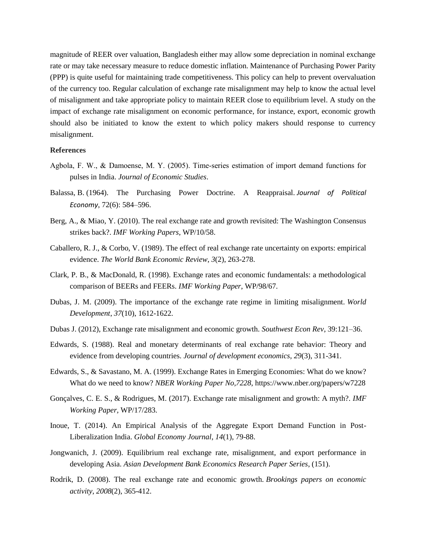magnitude of REER over valuation, Bangladesh either may allow some depreciation in nominal exchange rate or may take necessary measure to reduce domestic inflation. Maintenance of Purchasing Power Parity (PPP) is quite useful for maintaining trade competitiveness. This policy can help to prevent overvaluation of the currency too. Regular calculation of exchange rate misalignment may help to know the actual level of misalignment and take appropriate policy to maintain REER close to equilibrium level. A study on the impact of exchange rate misalignment on economic performance, for instance, export, economic growth should also be initiated to know the extent to which policy makers should response to currency misalignment.

#### **References**

- Agbola, F. W., & Damoense, M. Y. (2005). Time‐series estimation of import demand functions for pulses in India. *Journal of Economic Studies*.
- Balassa, B. (1964). The Purchasing Power Doctrine. A Reappraisal. *Journal of Political Economy*, 72(6): 584–596.
- Berg, A., & Miao, Y. (2010). The real exchange rate and growth revisited: The Washington Consensus strikes back?. *IMF Working Papers*, WP/10/58.
- Caballero, R. J., & Corbo, V. (1989). The effect of real exchange rate uncertainty on exports: empirical evidence. *The World Bank Economic Review*, *3*(2), 263-278.
- Clark, P. B., & MacDonald, R. (1998). Exchange rates and economic fundamentals: a methodological comparison of BEERs and FEERs. *IMF Working Paper*, WP/98/67.
- Dubas, J. M. (2009). The importance of the exchange rate regime in limiting misalignment. *World Development*, *37*(10), 1612-1622.
- Dubas J. (2012), Exchange rate misalignment and economic growth. *Southwest Econ Rev*, 39:121–36.
- Edwards, S. (1988). Real and monetary determinants of real exchange rate behavior: Theory and evidence from developing countries. *Journal of development economics*, *29*(3), 311-341.
- Edwards, S., & Savastano, M. A. (1999). Exchange Rates in Emerging Economies: What do we know? What do we need to know? *NBER Working Paper No,7228*, https://www.nber.org/papers/w7228
- Gonçalves, C. E. S., & Rodrigues, M. (2017). Exchange rate misalignment and growth: A myth?. *IMF Working Paper,* WP/17/283.
- Inoue, T. (2014). An Empirical Analysis of the Aggregate Export Demand Function in Post-Liberalization India. *Global Economy Journal*, *14*(1), 79-88.
- Jongwanich, J. (2009). Equilibrium real exchange rate, misalignment, and export performance in developing Asia. *Asian Development Bank Economics Research Paper Series*, (151).
- Rodrik, D. (2008). The real exchange rate and economic growth. *Brookings papers on economic activity*, *2008*(2), 365-412.